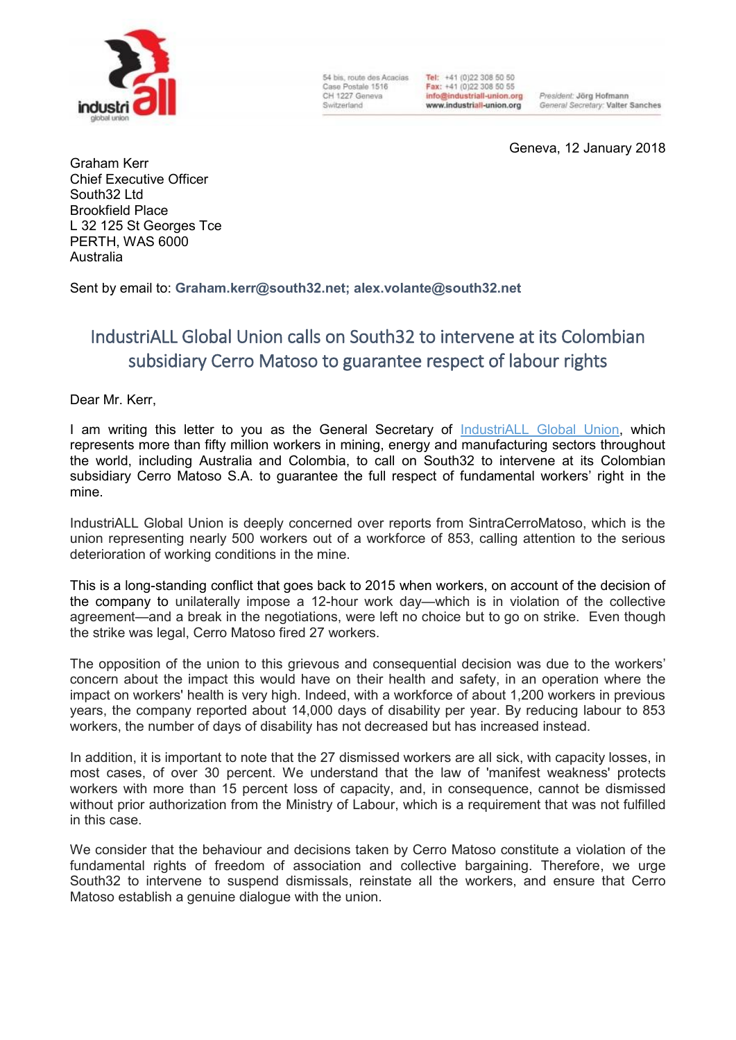

54 bis, route des Acacias Case Postale 1516 CH 1227 Geneva Switzerland

Tel: +41 (0)22 308 50 50 Fax: +41 (0)22 308 50 55 info@industriall-union.org www.industriall-union.org

President: Jörg Hofmann General Secretary: Valter Sanches

Geneva, 12 January 2018

Graham Kerr Chief Executive Officer South32 Ltd Brookfield Place L 32 125 St Georges Tce PERTH, WAS 6000 Australia

Sent by email to: **[Graham.kerr@south32.net;](mailto:Graham.kerr@south32.net) [alex.volante@south32.net](mailto:alex.volante@south32.net)**

## IndustriALL Global Union calls on South32 to intervene at its Colombian subsidiary Cerro Matoso to guarantee respect of labour rights

Dear Mr. Kerr,

I am writing this letter to you as the General Secretary of [IndustriALL Global Union,](http://www.industriall-union.org/) which represents more than fifty million workers in mining, energy and manufacturing sectors throughout the world, including Australia and Colombia, to call on South32 to intervene at its Colombian subsidiary Cerro Matoso S.A. to guarantee the full respect of fundamental workers' right in the mine.

IndustriALL Global Union is deeply concerned over reports from SintraCerroMatoso, which is the union representing nearly 500 workers out of a workforce of 853, calling attention to the serious deterioration of working conditions in the mine.

This is a long-standing conflict that goes back to 2015 when workers, on account of the decision of the company to unilaterally impose a 12-hour work day—which is in violation of the collective agreement—and a break in the negotiations, were left no choice but to go on strike. Even though the strike was legal, Cerro Matoso fired 27 workers.

The opposition of the union to this grievous and consequential decision was due to the workers' concern about the impact this would have on their health and safety, in an operation where the impact on workers' health is very high. Indeed, with a workforce of about 1,200 workers in previous years, the company reported about 14,000 days of disability per year. By reducing labour to 853 workers, the number of days of disability has not decreased but has increased instead.

In addition, it is important to note that the 27 dismissed workers are all sick, with capacity losses, in most cases, of over 30 percent. We understand that the law of 'manifest weakness' protects workers with more than 15 percent loss of capacity, and, in consequence, cannot be dismissed without prior authorization from the Ministry of Labour, which is a requirement that was not fulfilled in this case.

We consider that the behaviour and decisions taken by Cerro Matoso constitute a violation of the fundamental rights of freedom of association and collective bargaining. Therefore, we urge South32 to intervene to suspend dismissals, reinstate all the workers, and ensure that Cerro Matoso establish a genuine dialogue with the union.